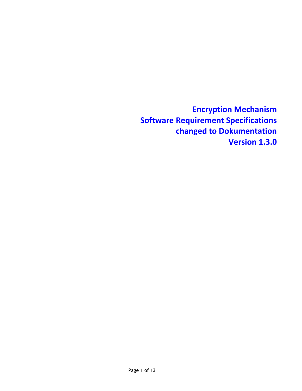**Encryption Mechanism Software Requirement Specifications changed to Dokumentation Version 1.3.0**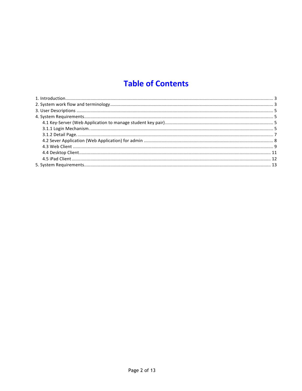# **Table of Contents**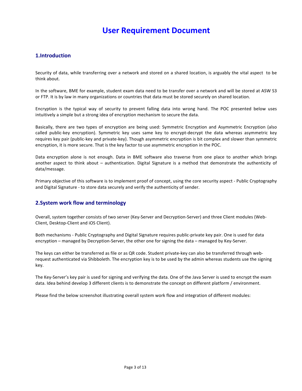# **User Requirement Document**

# **1.Introduction**

Security of data, while transferring over a network and stored on a shared location, is arguably the vital aspect to be think about.

In the software, BME for example, student exam data need to be transfer over a network and will be stored at ASW S3 or FTP. It is by law in many organizations or countries that data must be stored securely on shared location.

Encryption is the typical way of security to prevent falling data into wrong hand. The POC presented below uses intuitively a simple but a strong idea of encryption mechanism to secure the data.

Basically, there are two types of encryption are being used: Symmetric Encryption and Asymmetric Encryption (also called public-key encryption). Symmetric key uses same key to encrypt-decrypt the data whereas asymmetric key requires key pair (public-key and private-key). Though asymmetric encryption is bit complex and slower than symmetric encryption, it is more secure. That is the key factor to use asymmetric encryption in the POC.

Data encryption alone is not enough. Data in BME software also traverse from one place to another which brings another aspect to think about – authentication. Digital Signature is a method that demonstrate the authenticity of data/message. 

Primary objective of this software is to implement proof of concept, using the core security aspect - Public Cryptography and Digital Signature - to store data securely and verify the authenticity of sender.

# **2.System work flow and terminology**

Overall, system together consists of two server (Key-Server and Decryption-Server) and three Client modules (Web-Client, Desktop-Client and iOS Client).

Both mechanisms - Public Cryptography and Digital Signature requires public-private key pair. One is used for data encryption – managed by Decryption-Server, the other one for signing the data – managed by Key-Server.

The keys can either be transferred as file or as QR code. Student private-key can also be transferred through webrequest authenticated via Shibboleth. The encryption key is to be used by the admin whereas students use the signing key. 

The Key-Server's key pair is used for signing and verifying the data. One of the Java Server is used to encrypt the exam data. Idea behind develop 3 different clients is to demonstrate the concept on different platform / environment.

Please find the below screenshot illustrating overall system work flow and integration of different modules: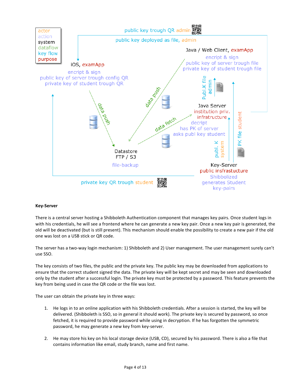

# **Key-Server**

There is a central server hosting a Shibboleth Authentication component that manages key pairs. Once student logs in with his credentials, he will see a frontend where he can generate a new key pair. Once a new key pair is generated, the old will be deactivated (but is still present). This mechanism should enable the possibility to create a new pair if the old one was lost on a USB stick or QR code.

The server has a two-way login mechanism: 1) Shibboleth and 2) User management. The user management surely can't use SSO.

The key consists of two files, the public and the private key. The public key may be downloaded from applications to ensure that the correct student signed the data. The private key will be kept secret and may be seen and downloaded only by the student after a successful login. The private key must be protected by a password. This feature prevents the key from being used in case the QR code or the file was lost.

The user can obtain the private key in three ways:

- 1. He logs in to an online application with his Shibboleth credentials. After a session is started, the key will be delivered. (Shibboleth is SSO, so in general it should work). The private key is secured by password, so once fetched, it is required to provide password while using in decryption. If he has forgotten the symmetric password, he may generate a new key from key-server.
- 2. He may store his key on his local storage device (USB, CD), secured by his password. There is also a file that contains information like email, study branch, name and first name.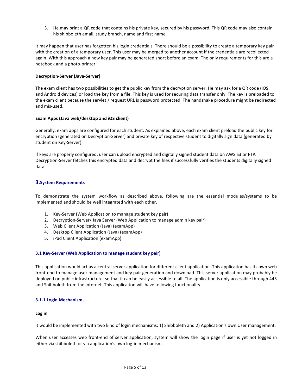3. He may print a QR code that contains his private key, secured by his password. This QR code may also contain his shibboleth email, study branch, name and first name.

It may happen that user has forgotten his login credentials. There should be a possibility to create a temporary key pair with the creation of a temporary user. This user may be merged to another account if the credentials are recollected again. With this approach a new key pair may be generated short before an exam. The only requirements for this are a notebook and a photo-printer.

# **Decryption-Server (Java-Server)**

The exam client has two possibilities to get the public key from the decryption server. He may ask for a QR code (iOS and Android devices) or load the key from a file. This key is used for securing data transfer only. The key is preloaded to the exam client because the servlet / request URL is password protected. The handshake procedure might be redirected and mis-used.

# **Exam Apps (Java web/desktop and iOS client)**

Generally, exam apps are configured for each student. As explained above, each exam client preload the public key for encryption (generated on Decryption-Server) and private key of respective student to digitally sign data (generated by student on Key-Server).

If keys are properly configured, user can upload encrypted and digitally signed student data on AWS S3 or FTP. Decryption-Server fetches this encrypted data and decrypt the files if successfully verifies the students digitally signed data.

# **3.System Requirements**

To demonstrate the system workflow as described above, following are the essential modules/systems to be implemented and should be well integrated with each other.

- 1. Key-Server (Web Application to manage student key pair)
- 2. Decryption-Server/ Java Server (Web Application to manage admin key pair)
- 3. Web Client Application (Java) (examApp)
- 4. Desktop Client Application (Java) (examApp)
- 5. iPad Client Application (examApp)

#### **3.1 Key-Server (Web Application to manage student key pair)**

This application would act as a central server application for different client application. This application has its own web front-end to manage user management and key pair generation and download. This server application may probably be deployed on public infrastructure, so that it can be easily accessible to all. The application is only accessible through 443 and Shibboleth from the internet. This application will have following functionality:

#### **3.1.1 Login Mechanism.**

#### **Log in**

It would be implemented with two kind of login mechanisms: 1) Shibboleth and 2) Application's own User management.

When user accesses web front-end of server application, system will show the login page if user is yet not logged in either via shibboleth or via application's own log-in mechanism.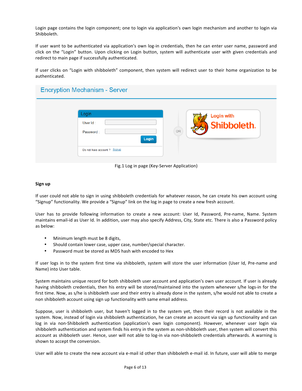Login page contains the login component; one to login via application's own login mechanism and another to login via Shibboleth.

If user want to be authenticated via application's own log-in credentials, then he can enter user name, password and click on the "Login" button. Upon clicking on Login button, system will authenticate user with given credentials and redirect to main page if successfully authenticated.

If user clicks on "Login with shibboleth" component, then system will redirect user to their home organization to be authenticated.

# **Encryption Mechanism - Server**

| Login<br>User Id:<br>Password:<br>Login | <b>Login with</b><br>Shibboleth.<br><b>OR</b> |
|-----------------------------------------|-----------------------------------------------|
| Do not have account ? Signup            |                                               |

Fig.1 Log in page (Key-Server Application)

# **Sign up**

If user could not able to sign in using shibboleth credentials for whatever reason, he can create his own account using "Signup" functionality. We provide a "Signup" link on the log in page to create a new fresh account.

User has to provide following information to create a new account: User Id, Password, Pre-name, Name. System maintains email-id as User Id. In addition, user may also specify Address, City, State etc. There is also a Password policy as below:

- Minimum length must be 8 digits,
- Should contain lower case, upper case, number/special character.
- Password must be stored as MD5 hash with encoded to Hex

If user logs in to the system first time via shibboleth, system will store the user information (User Id, Pre-name and Name) into User table.

System maintains unique record for both shibboleth user account and application's own user account. If user is already having shibboleth credentials, then his entry will be stored/maintained into the system whenever s/he logs-in for the first time. Now, as s/he is shibboleth user and their entry is already done in the system, s/he would not able to create a non shibboleth account using sign up functionality with same email address.

Suppose, user is shibboleth user, but haven't logged in to the system yet, then their record is not available in the system. Now, instead of login via shibboleth authentication, he can create an account via sign up functionality and can log in via non-Shibboleth authentication (application's own login component). However, whenever user login via shibboleth authentication and system finds his entry in the system as non-shibboleth user, then system will convert this account as shibboleth user. Hence, user will not able to log-in via non-shibboleth credentials afterwards. A warning is shown to accept the conversion.

User will able to create the new account via e-mail id other than shibboleth e-mail id. In future, user will able to merge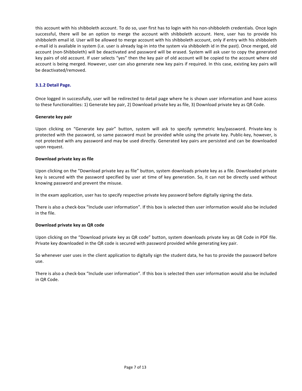this account with his shibboleth account. To do so, user first has to login with his non-shibboleth credentials. Once login successful, there will be an option to merge the account with shibboleth account. Here, user has to provide his shibboleth email id. User will be allowed to merge account with his shibboleth account, only if entry with his shibboleth e-mail id is available in system (i.e. user is already log-in into the system via shibboleth id in the past). Once merged, old account (non-Shibboleth) will be deactivated and password will be erased. System will ask user to copy the generated key pairs of old account. If user selects "yes" then the key pair of old account will be copied to the account where old account is being merged. However, user can also generate new key pairs if required. In this case, existing key pairs will be deactivated/removed.

# **3.1.2 Detail Page.**

Once logged in successfully, user will be redirected to detail page where he is shown user information and have access to these functionalities: 1) Generate key pair, 2) Download private key as file, 3) Download private key as QR Code.

# **Generate key pair**

Upon clicking on "Generate key pair" button, system will ask to specify symmetric key/password. Private-key is protected with the password, so same password must be provided while using the private key. Public-key, however, is not protected with any password and may be used directly. Generated key pairs are persisted and can be downloaded upon request.

# **Download private key as file**

Upon clicking on the "Download private key as file" button, system downloads private key as a file. Downloaded private key is secured with the password specified by user at time of key generation. So, it can not be directly used without knowing password and prevent the misuse.

In the exam application, user has to specify respective private key password before digitally signing the data.

There is also a check-box "Include user information". If this box is selected then user information would also be included in the file.

#### **Download private key as QR code**

Upon clicking on the "Download private key as QR code" button, system downloads private key as QR Code in PDF file. Private key downloaded in the QR code is secured with password provided while generating key pair.

So whenever user uses in the client application to digitally sign the student data, he has to provide the password before use.

There is also a check-box "Include user information". If this box is selected then user information would also be included in QR Code.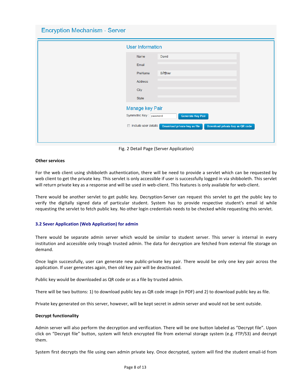**Encryption Mechanism - Server** 

| <b>User Information</b>                           |                                                                 |
|---------------------------------------------------|-----------------------------------------------------------------|
| Name                                              | David                                                           |
| Email                                             |                                                                 |
| PreName                                           | <b>BÄ</b> ¶hler                                                 |
| <b>Address</b>                                    |                                                                 |
| City                                              |                                                                 |
| State                                             |                                                                 |
| Manage key Pair                                   |                                                                 |
| Symmetric Key: password                           | <b>Generate Key Pair</b>                                        |
| include user details<br>$\overline{\mathbb{R}^n}$ | Download private key as file<br>Download private key as QR code |
|                                                   |                                                                 |
|                                                   |                                                                 |

Fig. 2 Detail Page (Server Application)

# **Other services**

For the web client using shibboleth authentication, there will be need to provide a servlet which can be requested by web client to get the private key. This servlet is only accessible if user is successfully logged in via shibboleth. This servlet will return private key as a response and will be used in web-client. This features is only available for web-client.

There would be another servlet to get public key. Decryption-Server can request this servlet to get the public key to verify the digitally signed data of particular student. System has to provide respective student's email id while requesting the servlet to fetch public key. No other login credentials needs to be checked while requesting this servlet.

#### **3.2 Sever Application (Web Application) for admin**

There would be separate admin server which would be similar to student server. This server is internal in every institution and accessible only trough trusted admin. The data for decryption are fetched from external file storage on demand.

Once login successfully, user can generate new public-private key pair. There would be only one key pair across the application. If user generates again, then old key pair will be deactivated.

Public key would be downloaded as QR code or as a file by trusted admin.

There will be two buttons: 1) to download public key as QR code image (in PDF) and 2) to download public key as file.

Private key generated on this server, however, will be kept secret in admin server and would not be sent outside.

#### **Decrypt functionality**

Admin server will also perform the decryption and verification. There will be one button labeled as "Decrypt file". Upon click on "Decrypt file" button, system will fetch encrypted file from external storage system (e.g. FTP/S3) and decrypt them.

System first decrypts the file using own admin private key. Once decrypted, system will find the student email-id from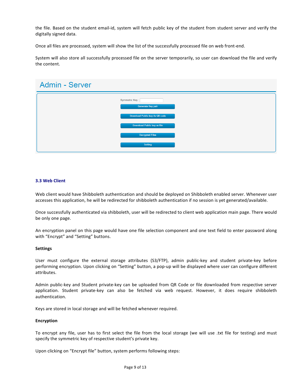the file. Based on the student email-id, system will fetch public key of the student from student server and verify the digitally signed data.

Once all files are processed, system will show the list of the successfully processed file on web front-end.

System will also store all successfully processed file on the server temporarily, so user can download the file and verify the content.

| Admin - Server |                                            |
|----------------|--------------------------------------------|
|                | Symmetric Key:<br><b>Generate Key pair</b> |
|                | Download Public key As QR code             |
|                | Download Public key as file                |
|                | <b>Decrypted Files</b>                     |
|                | Setting                                    |

# **3.3 Web Client**

Web client would have Shibboleth authentication and should be deployed on Shibboleth enabled server. Whenever user accesses this application, he will be redirected for shibboleth authentication if no session is yet generated/available.

Once successfully authenticated via shibboleth, user will be redirected to client web application main page. There would be only one page.

An encryption panel on this page would have one file selection component and one text field to enter password along with "Encrypt" and "Setting" buttons.

#### **Settings**

User must configure the external storage attributes (S3/FTP), admin public-key and student private-key before performing encryption. Upon clicking on "Setting" button, a pop-up will be displayed where user can configure different attributes.

Admin public-key and Student private-key can be uploaded from QR Code or file downloaded from respective server application. Student private-key can also be fetched via web request. However, it does require shibboleth authentication. 

Keys are stored in local storage and will be fetched whenever required.

#### **Encryption**

To encrypt any file, user has to first select the file from the local storage (we will use .txt file for testing) and must specify the symmetric key of respective student's private key.

Upon clicking on "Encrypt file" button, system performs following steps: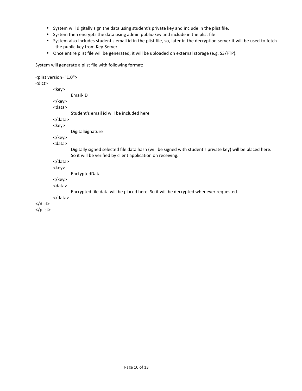- System will digitally sign the data using student's private key and include in the plist file.
- System then encrypts the data using admin public-key and include in the plist file
- System also includes student's email id in the plist file, so, later in the decryption server it will be used to fetch the public-key from Key-Server.
- Once entire plist file will be generated, it will be uploaded on external storage (e.g. S3/FTP).

System will generate a plist file with following format:

```
<plist version="1.0">
<dict>
         <key>
                 Email-ID
         </key>
         <data>
                 Student's email id will be included here
         </data>
         <key>
                 DigitalSignature
         </key>
         <data>
                 Digitally signed selected file data hash (will be signed with student's private key) will be placed here.
                 So it will be verified by client application on receiving.
         </data>
         <key>
                 EnctyptedData
         </key>
         <data>
                 Encrypted file data will be placed here. So it will be decrypted whenever requested.
         </data>
</dict>
</plist>
```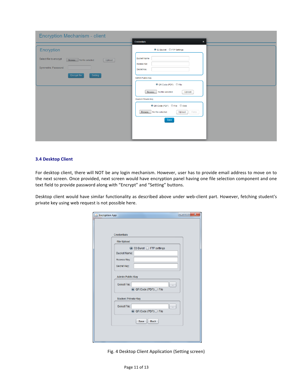| Encryption Mechanism - client                                  |                                             |  |
|----------------------------------------------------------------|---------------------------------------------|--|
|                                                                | <b>Credentials</b><br>$\pmb{\times}$        |  |
| Encryption                                                     | S3 Bucket FTP Settings                      |  |
| Select file to encrypt<br>Browse   No file selected.<br>Upload | <b>Bucket Name</b><br>Access Key            |  |
| Symmetric Password                                             | Secret Key                                  |  |
| Setting<br>Encrypt file                                        | <b>Admin Public Key</b>                     |  |
|                                                                | O QR Code (PDF) O File                      |  |
|                                                                | Browse No file selected.<br>Upload          |  |
|                                                                | <b>Student Private Key</b>                  |  |
|                                                                | ◎ QR Code (PDF) ◎ File ◎ Web                |  |
|                                                                | Browse No file selected.<br>Fetch<br>Upload |  |
|                                                                | Save                                        |  |
|                                                                |                                             |  |
|                                                                |                                             |  |

# **3.4 Desktop Client**

For desktop client, there will NOT be any login mechanism. However, user has to provide email address to move on to the next screen. Once provided, next screen would have encryption panel having one file selection component and one text field to provide password along with "Encrypt" and "Setting" buttons.

Desktop client would have similar functionality as described above under web-client part. However, fetching student's private key using web request is not possible here.

| <b><i>⊈</i></b> Encryption App | $\mathbf{x}$<br>ادادا |
|--------------------------------|-----------------------|
|                                |                       |
|                                |                       |
|                                |                       |
| <b>Credentials</b>             |                       |
| <b>File Upload</b>             |                       |
| ● S3 Buket ○ FTP settings      |                       |
| <b>Bucket Name:</b>            |                       |
|                                |                       |
| Access Key:                    |                       |
| Secret Key:                    |                       |
|                                |                       |
| <b>Admin Public Key</b>        |                       |
| Select File:                   |                       |
| ◎ QR Code (PDF) ○ File         |                       |
|                                |                       |
| <b>Student Private Key</b>     |                       |
| Select File:                   |                       |
| ◎ QR Code (PDF) ○ File         |                       |
|                                |                       |
| Save<br><b>Back</b>            |                       |
|                                |                       |
|                                |                       |
|                                |                       |
|                                |                       |

Fig. 4 Desktop Client Application (Setting screen)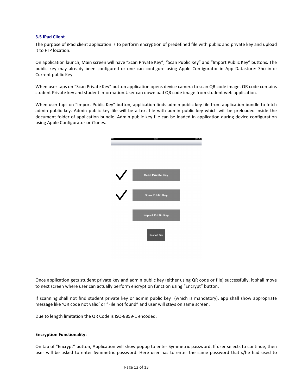#### **3.5 iPad Client**

The purpose of iPad client application is to perform encryption of predefined file with public and private key and upload it to FTP location.

On application launch, Main screen will have "Scan Private Key", "Scan Public Key" and "Import Public Key" buttons. The public key may already been configured or one can configure using Apple Configurator in App Datastore: Sho info: Current public Key

When user taps on "Scan Private Key" button application opens device camera to scan QR code image. QR code contains student Private key and student information. User can download QR code image from student web application.

When user taps on "Import Public Key" button, application finds admin public key file from application bundle to fetch admin public key. Admin public key file will be a text file with admin public key which will be preloaded inside the document folder of application bundle. Admin public key file can be loaded in application during device configuration using Apple Configurator or iTunes.



Once application gets student private key and admin public key (either using QR code or file) successfully, it shall move to next screen where user can actually perform encryption function using "Encrypt" button.

If scanning shall not find student private key or admin public key (which is mandatory), app shall show appropriate message like 'QR code not valid' or "File not found" and user will stays on same screen.

Due to length limitation the QR Code is ISO-8859-1 encoded.

#### **Encryption Functionality:**

On tap of "Encrypt" button, Application will show popup to enter Symmetric password. If user selects to continue, then user will be asked to enter Symmetric password. Here user has to enter the same password that s/he had used to